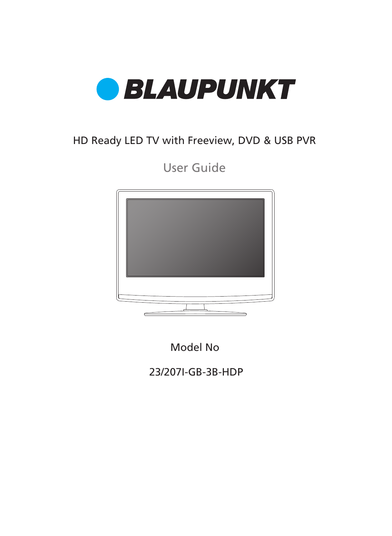

## HD Ready LED TV with Freeview, DVD & USB PVR

User Guide



Model No

23/207I-GB-3B-HDP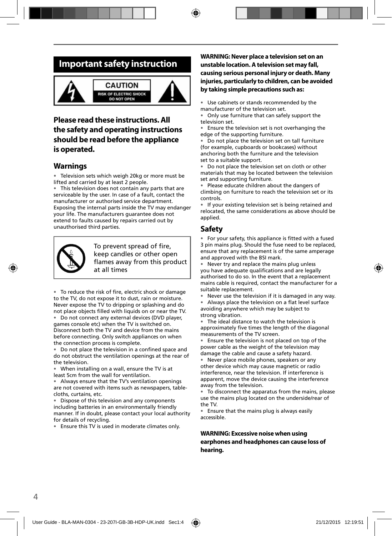## **Important safety instruction**



## **Please read these instructions. All the safety and operating instructions should be read before the appliance is operated.**

#### **Warnings**

Television sets which weigh 20kg or more must be lifted and carried by at least 2 people.

This television does not contain any parts that are serviceable by the user. In case of a fault, contact the manufacturer or authorised service department. Exposing the internal parts inside the TV may endanger your life. The manufacturers guarantee does not extend to faults caused by repairs carried out by unauthorised third parties.



To prevent spread of fire. keep candles or other open flames away from this product at all times

• To reduce the risk of fire, electric shock or damage to the TV, do not expose it to dust, rain or moisture. Never expose the TV to dripping or splashing and do not place objects filled with liquids on or near the TV.

• Do not connect any external devices (DVD player, games console etc) when the TV is switched on. Disconnect both the TV and device from the mains before connecting. Only switch appliances on when the connection process is complete.

• Do not place the television in a confined space and do not obstruct the ventilation openings at the rear of the television.

• When installing on a wall, ensure the TV is at least 5cm from the wall for ventilation.

• Always ensure that the TV's ventilation openings are not covered with items such as newspapers, tablecloths, curtains, etc.

• Dispose of this television and any components including batteries in an environmentally friendly manner. If in doubt, please contact your local authority for details of recycling.

• Ensure this TV is used in moderate climates only.

#### **WARNING: Never place a television set on an unstable location. A television set may fall, causing serious personal injury or death. Many injuries, particularly to children, can be avoided by taking simple precautions such as:**

• Use cabinets or stands recommended by the manufacturer of the television set.

• Only use furniture that can safely support the television set.

Ensure the television set is not overhanging the edge of the supporting furniture.

• Do not place the television set on tall furniture (for example, cupboards or bookcases) without anchoring both the furniture and the television set to a suitable support.

• Do not place the television set on cloth or other materials that may be located between the television set and supporting furniture.

• Please educate children about the dangers of climbing on furniture to reach the television set or its controls.

If your existing television set is being retained and relocated, the same considerations as above should be applied.

### **Safety**

• For your safety, this appliance is fitted with a fused 3 pin mains plug. Should the fuse need to be replaced, ensure that any replacement is of the same amperage and approved with the BSI mark.

• Never try and replace the mains plug unless you have adequate qualifications and are legally authorised to do so. In the event that a replacement mains cable is required, contact the manufacturer for a suitable replacement.

Never use the television if it is damaged in any way. Always place the television on a flat level surface

avoiding anywhere which may be subject to strong vibration.

The ideal distance to watch the television is approximately five times the length of the diagonal measurements of the TV screen.

Ensure the television is not placed on top of the power cable as the weight of the television may damage the cable and cause a safety hazard.

• Never place mobile phones, speakers or any other device which may cause magnetic or radio interference, near the television. If interference is apparent, move the device causing the interference away from the television.

• To disconnect the apparatus from the mains, please use the mains plug located on the underside/rear of the TV.

• Ensure that the mains plug is always easily accessible.

#### **WARNING: Excessive noise when using earphones and headphones can cause loss of hearing.**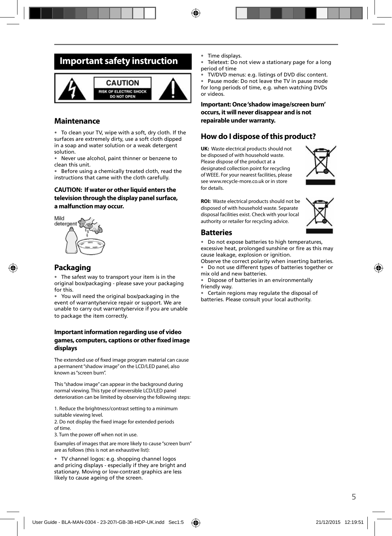## **Important safety instruction**



#### **Maintenance**

• To clean your TV, wipe with a soft, dry cloth. If the surfaces are extremely dirty, use a soft cloth dipped in a soap and water solution or a weak detergent solution.

• Never use alcohol, paint thinner or benzene to clean this unit.

Before using a chemically treated cloth, read the instructions that came with the cloth carefully.

#### **CAUTION: If water or other liquid enters the television through the display panel surface, a malfunction may occur.**



### **Packaging**

• The safest way to transport your item is in the original box/packaging - please save your packaging for this.

• You will need the original box/packaging in the event of warranty/service repair or support. We are unable to carry out warranty/service if you are unable to package the item correctly.

#### **Important information regarding use of video games, computers, captions or other fi xed image displays**

The extended use of fixed image program material can cause a permanent "shadow image" on the LCD/LED panel, also known as "screen burn".

This "shadow image" can appear in the background during normal viewing. This type of irreversible LCD/LED panel deterioration can be limited by observing the following steps:

1. Reduce the brightness/contrast setting to a minimum suitable viewing level.

2. Do not display the fixed image for extended periods of time.

3. Turn the power off when not in use.

Examples of images that are more likely to cause "screen burn" are as follows (this is not an exhaustive list):

• TV channel logos: e.g. shopping channel logos and pricing displays - especially if they are bright and stationary. Moving or low-contrast graphics are less likely to cause ageing of the screen.

- Time displays.
- Teletext: Do not view a stationary page for a long period of time

• TV/DVD menus: e.g. listings of DVD disc content. Pause mode: Do not leave the TV in pause mode for long periods of time, e.g. when watching DVDs or videos.

**Important: Once 'shadow image/screen burn' occurs, it will never disappear and is not repairable under warranty.**

### **How do I dispose of this product?**

**UK:** Waste electrical products should not be disposed of with household waste. Please dispose of the product at a designated collection point for recycling of WEEE. For your nearest facilities, please see www.recycle-more.co.uk or in store for details.



**ROI:** Waste electrical products should not be disposed of with household waste. Separate disposal facilities exist. Check with your local authority or retailer for recycling advice.

#### **Batteries**

• Do not expose batteries to high temperatures, excessive heat, prolonged sunshine or fire as this may cause leakage, explosion or ignition.

Observe the correct polarity when inserting batteries. • Do not use different types of batteries together or

mix old and new batteries. • Dispose of batteries in an environmentally friendly way.

• Certain regions may regulate the disposal of batteries. Please consult your local authority.

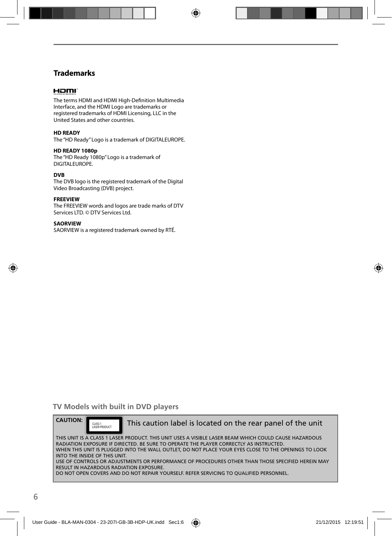### **Trademarks**

#### HOMI

The terms HDMI and HDMI High-Definition Multimedia Interface, and the HDMI Logo are trademarks or registered trademarks of HDMI Licensing, LLC in the United States and other countries.

#### **HD READY**

The "HD Ready" Logo is a trademark of DIGITALEUROPE.

#### **HD READY 1080p**

The "HD Ready 1080p" Logo is a trademark of DIGITALEUROPE.

#### **DVB**

The DVB logo is the registered trademark of the Digital Video Broadcasting (DVB) project.

#### **FREEVIEW**

The FREEVIEW words and logos are trade marks of DTV Services LTD. © DTV Services Ltd.

#### **SAORVIEW**

SAORVIEW is a registered trademark owned by RTÉ.

### **TV Models with built in DVD players**

**CAUTION:** THIS UNIT IS A CLASS 1 LASER PRODUCT. THIS UNIT USES A VISIBLE LASER BEAM WHICH COULD CAUSE HAZARDOUS RADIATION EXPOSURE IF DIRECTED. BE SURE TO OPERATE THE PLAYER CORRECTLY AS INSTRUCTED. WHEN THIS UNIT IS PLUGGED INTO THE WALL OUTLET, DO NOT PLACE YOUR EYES CLOSE TO THE OPENINGS TO LOOK INTO THE INSIDE OF THIS UNIT. USE OF CONTROLS OR ADJUSTMENTS OR PERFORMANCE OF PROCEDURES OTHER THAN THOSE SPECIFIED HEREIN MAY RESULT IN HAZARDOUS RADIATION EXPOSURE. DO NOT OPEN COVERS AND DO NOT REPAIR YOURSELF. REFER SERVICING TO QUALIFIED PERSONNEL. CLASS 1<br>LASER PRODUCT This caution label is located on the rear panel of the unit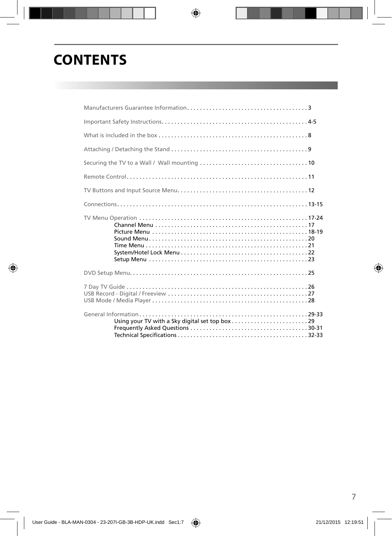# **CONTENTS**

 $\bigcirc$ 

 $\bigoplus$ 

 $\bigoplus$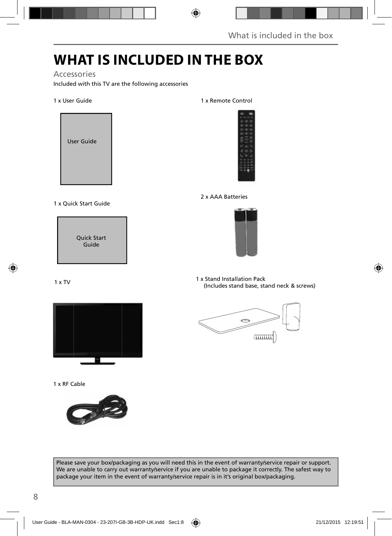# **WHAT IS INCLUDED IN THE BOX**

 $\bigoplus$ 

### Accessories

Included with this TV are the following accessories

#### 1 x User Guide



1 x Quick Start Guide



1 x TV



1 x RF Cable



Please save your box/packaging as you will need this in the event of warranty/service repair or support. We are unable to carry out warranty/service if you are unable to package it correctly. The safest way to package your item in the event of warranty/service repair is in it's original box/packaging.

1 x Remote Control







1 x Stand Installation Pack (Includes stand base, stand neck & screws)



⊕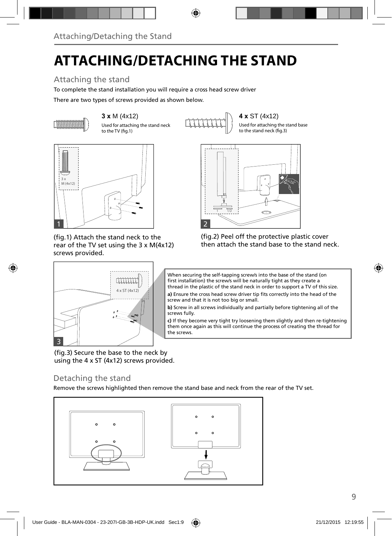# **ATTACHING/DETACHING THE STAND**

◈

## Attaching the stand

To complete the stand installation you will require a cross head screw driver

There are two types of screws provided as shown below.



(fig.1) Attach the stand neck to the rear of the TV set using the 3 x M(4x12) screws provided.



(fig.2) Peel off the protective plastic cover then attach the stand base to the stand neck.

Used for attaching the stand base



When securing the self-tapping screw/s into the base of the stand (on first installation) the screw/s will be naturally tight as they create a thread in the plastic of the stand neck in order to support a TV of this size. a) Ensure the cross head screw driver tip fits correctly into the head of the screw and that it is not too big or small.

**b)** Screw in all screws individually and partially before tightening all of the screws fully.

**c)** If they become very tight try loosening them slightly and then re-tightening them once again as this will continue the process of creating the thread for the screws.

(fig.3) Secure the base to the neck by using the 4 x ST (4x12) screws provided.

## Detaching the stand

⊕

Remove the screws highlighted then remove the stand base and neck from the rear of the TV set.



⊕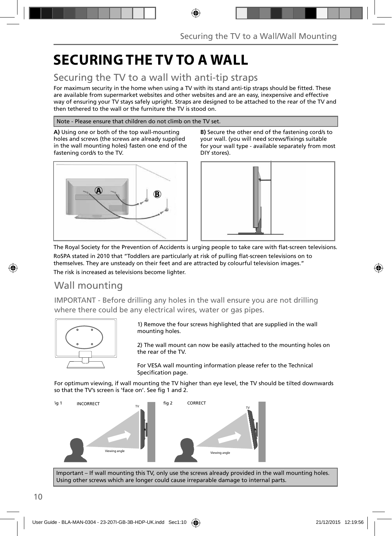# **SECURING THE TV TO A WALL**

## Securing the TV to a wall with anti-tip straps

For maximum security in the home when using a TV with its stand anti-tip straps should be fitted. These are available from supermarket websites and other websites and are an easy, inexpensive and effective way of ensuring your TV stays safely upright. Straps are designed to be attached to the rear of the TV and then tethered to the wall or the furniture the TV is stood on.

⊕

Note - Please ensure that children do not climb on the TV set.

**A)** Using one or both of the top wall-mounting holes and screws (the screws are already supplied in the wall mounting holes) fasten one end of the fastening cord/s to the TV.







The Royal Society for the Prevention of Accidents is urging people to take care with flat-screen televisions.

RoSPA stated in 2010 that "Toddlers are particularly at risk of pulling flat-screen televisions on to themselves. They are unsteady on their feet and are attracted by colourful television images." The risk is increased as televisions become lighter.

## Wall mounting

IMPORTANT - Before drilling any holes in the wall ensure you are not drilling where there could be any electrical wires, water or gas pipes.



1) Remove the four screws highlighted that are supplied in the wall mounting holes.

2) The wall mount can now be easily attached to the mounting holes on the rear of the TV.

For VESA wall mounting information please refer to the Technical Specification page.

For optimum viewing, if wall mounting the TV higher than eye level, the TV should be tilted downwards so that the TV's screen is 'face on'. See fig 1 and 2.



Important – If wall mounting this TV, only use the screws already provided in the wall mounting holes. Using other screws which are longer could cause irreparable damage to internal parts.

↔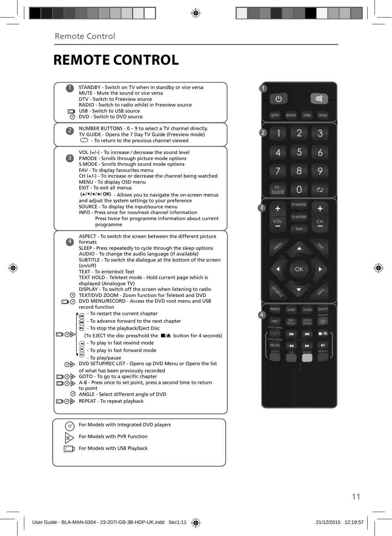## **REMOTE CONTROL**

1 STANDBY - Switch on TV when in standby or vice versa 1 MUTE - Mute the sound or vice versa DTV - Switch to Freeview source RADIO - Switch to radio whilst in Freeview source USB - Switch to USB source  $\Box$  $\overline{\odot}$  DVD - Switch to DVD source NUMBER BUTTONS - 0 – 9 to select a TV channel directly. 2 TV GUIDE - Opens the 7 Day TV Guide (Freeview mode) - To return to the previous channel viewed VOL (**+/-**) - To increase / decrease the sound level 3 P.MODE - Scrolls through picture mode options S.MODE - Scrolls through sound mode options FAV - To display favourites menu CH (**+/-**) - To increase or decrease the channel being watched MENU - To display OSD menu EXIT - To exit all menus  $(A/\nabla / A)$  - Allows you to navigate the on-screen menus and adjust the system settings to your preference SOURCE - To display the input/source menu INFO - Press once for now/next channel information Press twice for programme information about current programme ASPECT - To switch the screen between the different picture 4 formats SLEEP - Press repeatedly to cycle through the sleep options AUDIO - To change the audio language (if available) SUBTITLE - To switch the dialogue at the bottom of the screen (on/off) TEXT - To enter/exit Text TEXT HOLD - Teletext mode - Hold current page which is displayed (Analogue TV) DISPLAY - To switch off the screen when listening to radio TEXT/DVD ZOOM - Zoom function for Teletext and DVD DVD MENU/RECORD - Access the DVD root menu and USB record function - To restart the current chapter - To advance forward to the next chapter  $\odot$  - To stop the playback/Eject Disc ⊡⊚ (To EJECT the disc press/hold the  $\blacksquare/\blacktriangle$  button for 4 seconds)  $\left( \widehat{=} \right)$  - To play in fast rewind mode  $\overbrace{(\mathbf{w})}^{\mathbf{w}}$  - To play in fast forward mode - To play/pause DVD SETUP/REC LIST - Opens up DVD Menu or Opens the list of what has been previously recorded GOD GOTO - To go to a specific chapter A-B - Press once to set point, press a second time to return to point ANGLE - Select different angle of DVD **DO** REPEAT - To repeat playback For Models with Integrated DVD players (♂ |ii> For Models with PVR Function



⊕

For Models with USB Playback

Œ

11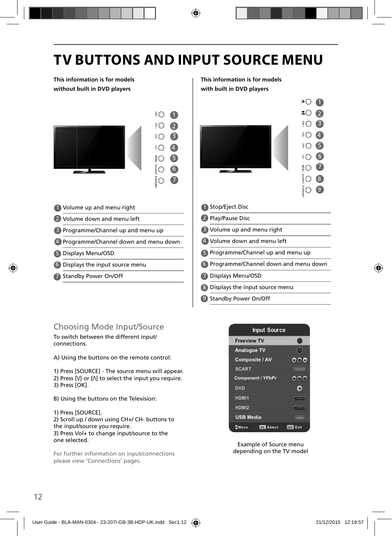## **TV BUTTONS AND INPUT SOURCE MENU**

**This information is for models without built in DVD players**



- 1 Volume up and menu right **1** 1
- 2 Volume down and menu left 2
- 3 Programme/Channel up and menu up **8**
- 4 Programme/Channel down and menu down | 4
- Displays Menu/OSD 5 5
- Displays the input source menu 6 6
- 7 Standby Power On/Off **1999 1999**

### **This information is for models with built in DVD players**



- **Stop/Eject Disc**
- 2 Play/Pause Disc
- **B** Volume up and menu right
- Volume down and menu left
- **B** Programme/Channel up and menu up
- Programme/Channel down and menu down
- Displays Menu/OSD
- Displays the input source menu 8
- 9 Standby Power On/Off

### Choosing Mode Input/Source

To switch between the different input/ connections.

A) Using the buttons on the remote control:

1) Press [SOURCE] - The source menu will appear. 2) Press  $[V]$  or  $[\Lambda]$  to select the input you require. 3) Press [OK].

B) Using the buttons on the Television:

1) Press [SOURCE]. 2) Scroll up / down using CH+/ CH- buttons to the input/source you require. 3) Press Vol+ to change input/source to the one selected.

For further information on input/connections please view 'Connections' pages.



Example of Source menu depending on the TV model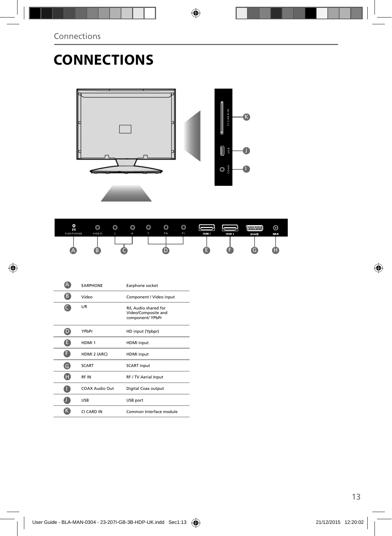$\bigoplus$ 

# **CONNECTIONS**



◈

| O<br>റ<br><b>EARPHONE</b> | $\circledcirc$<br><b>VIDEO</b> | $\circledcirc$ | $\circledcirc$<br>R | $\circledcirc$<br>v | $\circledcirc$<br>Pb | $\circledcirc$<br>P <sub>r</sub> | HDM <sub>1</sub> | HDM <sub>2</sub> | <b>WWWW</b><br><b>SCART</b> | ⊚<br><b>STAR</b> |
|---------------------------|--------------------------------|----------------|---------------------|---------------------|----------------------|----------------------------------|------------------|------------------|-----------------------------|------------------|
|                           |                                |                |                     |                     |                      |                                  |                  |                  | G                           |                  |

|   | <b><i>EARPHONE</i></b> | Earphone socket                                                 |
|---|------------------------|-----------------------------------------------------------------|
| B | Video                  | Component / Video input                                         |
|   | L/R                    | R/L Audio shared for<br>Video/Composite and<br>component/ YPbPr |
|   | YPbPr                  | HD input (Ypbpr)                                                |
| E | HDMI <sub>1</sub>      | <b>HDMI</b> input                                               |
| F | HDMI 2 (ARC)           | <b>HDMI</b> input                                               |
| G | <b>SCART</b>           | <b>SCART</b> input                                              |
|   | <b>RFIN</b>            | RF / TV Aerial Input                                            |
|   | COAX Audio Out         | Digital Coax output                                             |
|   | <b>USB</b>             | USB port                                                        |
|   | CI CARD IN             | Common Interface module                                         |

 $\bigcirc$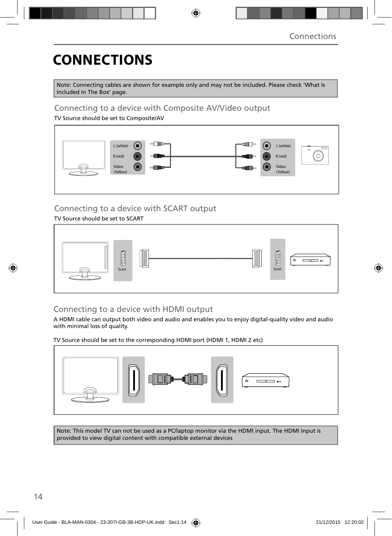# **CONNECTIONS**

Note: Connecting cables are shown for example only and may not be included. Please check 'What Is Included In The Box' page.

⊕

## Connecting to a device with Composite AV/Video output

TV Source should be set to Composite/AV



## Connecting to a device with SCART output

TV Source should be set to SCART



### Connecting to a device with HDMI output

A HDMI cable can output both video and audio and enables you to enjoy digital-quality video and audio with minimal loss of quality.

TV Source should be set to the corresponding HDMI port (HDMI 1, HDMI 2 etc)



Note: This model TV can not be used as a PC/laptop monitor via the HDMI input. The HDMI Input is provided to view digital content with compatible external devices

⊕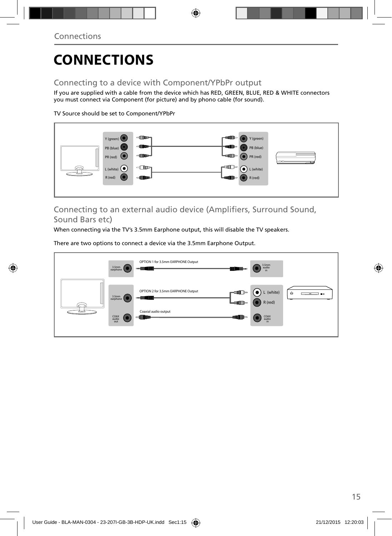◈

# **CONNECTIONS**

### Connecting to a device with Component/YPbPr output

If you are supplied with a cable from the device which has RED, GREEN, BLUE, RED & WHITE connectors you must connect via Component (for picture) and by phono cable (for sound).

◈

TV Source should be set to Component/YPbPr



Connecting to an external audio device (Amplifiers, Surround Sound, Sound Bars etc)

When connecting via the TV's 3.5mm Earphone output, this will disable the TV speakers.

There are two options to connect a device via the 3.5mm Earphone Output.



15

⊕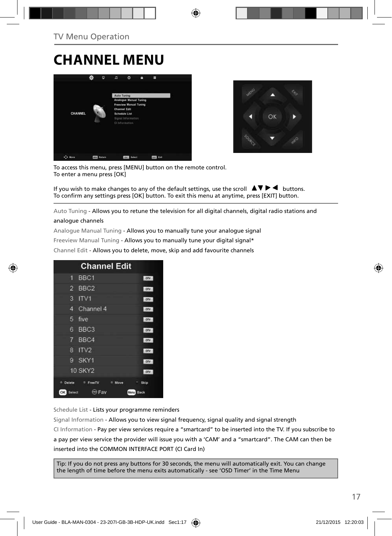## **CHANNEL MENU**





To access this menu, press [MENU] button on the remote control. To enter a menu press [OK]

If you wish to make changes to any of the default settings, use the scroll  $\blacktriangle \blacktriangledown \blacktriangleright \blacktriangleleft$  buttons. To confirm any settings press [OK] button. To exit this menu at anytime, press [EXIT] button.

Auto Tuning - Allows you to retune the television for all digital channels, digital radio stations and

#### analogue channels

Analogue Manual Tuning - Allows you to manually tune your analogue signal Freeview Manual Tuning - Allows you to manually tune your digital signal\* Channel Edit - Allows you to delete, move, skip and add favourite channels

| <b>Channel Edit</b>                |              |
|------------------------------------|--------------|
| BBC <sub>1</sub><br>٦.             | onv          |
| $\overline{2}$<br>BBC <sub>2</sub> | otv          |
| з<br>IV1                           | otv          |
| Channel 4<br>4                     | ory          |
| 5<br>five                          | otv          |
| BBC <sub>3</sub><br>6              | <b>DTV</b>   |
| BBC4<br>$7^{\circ}$                | onv          |
| ITV <sub>2</sub><br>R              | ony          |
| SKY1<br>9.                         | onv          |
| <b>10 SKY2</b>                     | OTV          |
| Delete<br>FreeTV<br>۰<br>Move      | Skip         |
| Fav<br>OK<br>(1)<br>Select         | Back<br>Menu |

Schedule List - Lists your programme reminders

Signal Information - Allows you to view signal frequency, signal quality and signal strength CI Information - Pay per view services require a "smartcard" to be inserted into the TV. If you subscribe to a pay per view service the provider will issue you with a 'CAM' and a "smartcard". The CAM can then be inserted into the COMMON INTERFACE PORT (CI Card In)

Tip: If you do not press any buttons for 30 seconds, the menu will automatically exit. You can change the length of time before the menu exits automatically - see 'OSD Timer' in the Time Menu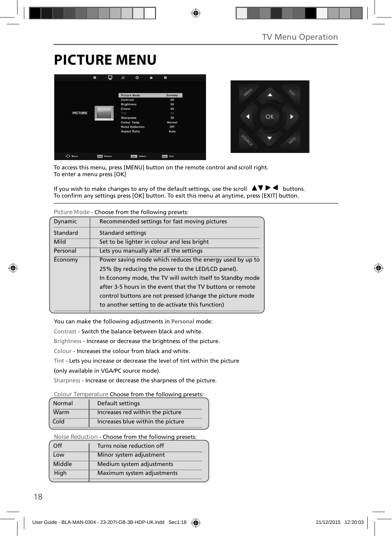## **PICTURE MENU**





To access this menu, press [MENU] button on the remote control and scroll right. To enter a menu press [OK]

If you wish to make changes to any of the default settings, use the scroll  $\Box \blacktriangledown \blacktriangleright \blacktriangleleft$  buttons. To confirm any settings press [OK] button. To exit this menu at anytime, press [EXIT] button.

⊕

|          | Picture Mode - Choose from the following presets:          |  |  |  |
|----------|------------------------------------------------------------|--|--|--|
| Dynamic  | Recommended settings for fast moving pictures              |  |  |  |
| Standard | <b>Standard settings</b>                                   |  |  |  |
| Mild     | Set to be lighter in colour and less bright                |  |  |  |
| Personal | Lets you manually alter all the settings                   |  |  |  |
| Economy  | Power saving mode which reduces the energy used by up to   |  |  |  |
|          | 25% (by reducing the power to the LED/LCD panel).          |  |  |  |
|          | In Economy mode, the TV will switch itself to Standby mode |  |  |  |
|          | after 3-5 hours in the event that the TV buttons or remote |  |  |  |
|          | control buttons are not pressed (change the picture mode   |  |  |  |
|          | to another setting to de-activate this function)           |  |  |  |
|          |                                                            |  |  |  |

**Picture Mode** - Choose from the following presets:

You can make the following adjustments in **Personal** mode:

Contrast - Switch the balance between black and white.

Brightness - Increase or decrease the brightness of the picture.

Colour - Increases the colour from black and white.

Tint - Lets you increase or decrease the level of tint within the picture

(only available in VGA/PC source mode).

Sharpness - Increase or decrease the sharpness of the picture.

**Colour Temperature** Choose from the following presets:

| Normal | Default settings                  |
|--------|-----------------------------------|
| Warm   | Increases red within the picture  |
| Cold   | Increases blue within the picture |

**Noise Reduction** - Choose from the following presets:

| Off    | Turns noise reduction off  |
|--------|----------------------------|
| Low    | Minor system adjustment    |
| Middle | Medium system adjustments  |
| High   | Maximum system adjustments |
|        |                            |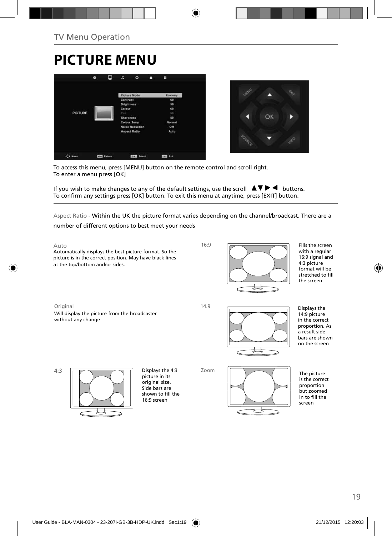TV Menu Operation

◈

# **PICTURE MENU**



◈

To access this menu, press [MENU] button on the remote control and scroll right. To enter a menu press [OK]

If you wish to make changes to any of the default settings, use the scroll  $\Box \blacktriangledown \blacktriangleright \blacktriangleleft$  buttons. To confirm any settings press [OK] button. To exit this menu at anytime, press [EXIT] button.

Aspect Ratio - Within the UK the picture format varies depending on the channel/broadcast. There are a number of different options to best meet your needs





⊕

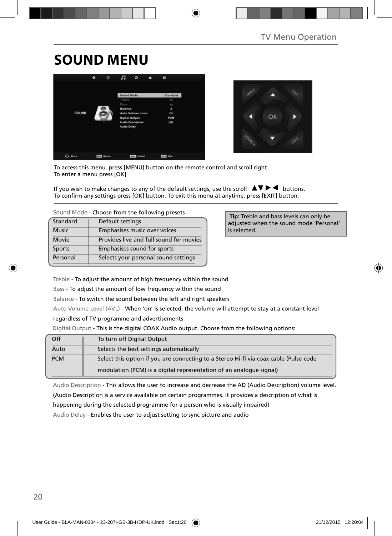## **SOUND MENU**





To access this menu, press [MENU] button on the remote control and scroll right. To enter a menu press [OK]

If you wish to make changes to any of the default settings, use the scroll  $\Box \blacktriangledown \blacktriangleright \blacktriangleleft$  buttons. To confirm any settings press [OK] button. To exit this menu at anytime, press [EXIT] button.

**Sound Mode** - Choose from the following presets

| Standard     | Default settings                        |
|--------------|-----------------------------------------|
| <b>Music</b> | Emphasises music over voices            |
| Movie        | Provides live and full sound for movies |
| Sports       | Emphasises sound for sports             |
| Personal     | Selects your personal sound settings    |

 **Tip:** Treble and bass levels can only be adjusted when the sound mode 'Personal' is selected.

Treble - To adjust the amount of high frequency within the sound

Bass - To adjust the amount of low frequency within the sound

Balance - To switch the sound between the left and right speakers

Auto Volume Level (AVL) - When 'on' is selected, the volume will attempt to stay at a constant level

regardless of TV programme and advertisements

Digital Output - This is the digital COAX Audio output. Choose from the following options:

| Off        | To turn off Digital Output                                                            |
|------------|---------------------------------------------------------------------------------------|
| Auto       | Selects the best settings automatically                                               |
| <b>PCM</b> | Select this option if you are connecting to a Stereo Hi-fi via coax cable (Pulse-code |
|            | modulation (PCM) is a digital representation of an analogue signal)                   |

Audio Description - This allows the user to increase and decrease the AD (Audio Description) volume level. (Audio Description is a service available on certain programmes. It provides a description of what is happening during the selected programme for a person who is visually impaired) Audio Delay - Enables the user to adjust setting to sync picture and audio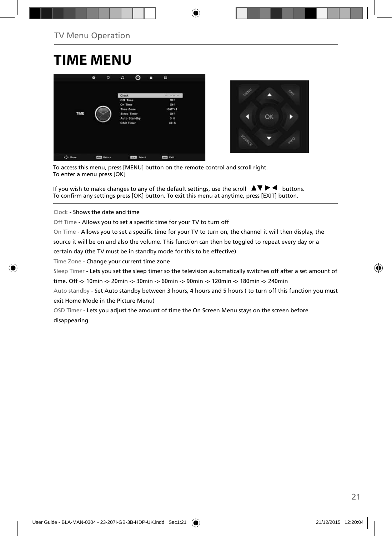# **TIME MENU**





To access this menu, press [MENU] button on the remote control and scroll right. To enter a menu press [OK]

If you wish to make changes to any of the default settings, use the scroll  $\blacktriangle \blacktriangledown \blacktriangleright \blacktriangleleft$  buttons. To confirm any settings press [OK] button. To exit this menu at anytime, press [EXIT] button.

Clock - Shows the date and time

Off Time - Allows you to set a specific time for your TV to turn off

On Time - Allows you to set a specific time for your TV to turn on, the channel it will then display, the source it will be on and also the volume. This function can then be toggled to repeat every day or a certain day (the TV must be in standby mode for this to be effective)

Time Zone - Change your current time zone

Sleep Timer - Lets you set the sleep timer so the television automatically switches off after a set amount of time. Off -> 10min -> 20min -> 30min -> 60min -> 90min -> 120min -> 180min -> 240min

Auto standby - Set Auto standby between 3 hours, 4 hours and 5 hours ( to turn off this function you must exit Home Mode in the Picture Menu)

OSD Timer - Lets you adjust the amount of time the On Screen Menu stays on the screen before disappearing



♠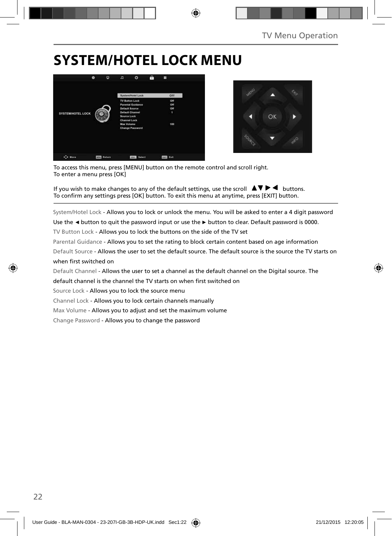## **SYSTEM/HOTEL LOCK MENU**





To access this menu, press [MENU] button on the remote control and scroll right. To enter a menu press [OK]

If you wish to make changes to any of the default settings, use the scroll  $\blacktriangle \blacktriangledown \blacktriangleright \blacktriangleleft$  buttons. To confirm any settings press [OK] button. To exit this menu at anytime, press [EXIT] button.

System/Hotel Lock - Allows you to lock or unlock the menu. You will be asked to enter a 4 digit password

Use the **◄** button to quit the password input or use the **►** button to clear. Default password is 0000.

TV Button Lock - Allows you to lock the buttons on the side of the TV set

Parental Guidance - Allows you to set the rating to block certain content based on age information Default Source - Allows the user to set the default source. The default source is the source the TV starts on

#### when first switched on

Default Channel - Allows the user to set a channel as the default channel on the Digital source. The default channel is the channel the TV starts on when first switched on

Source Lock - Allows you to lock the source menu

Channel Lock - Allows you to lock certain channels manually

Max Volume - Allows you to adjust and set the maximum volume

Change Password - Allows you to change the password

⇔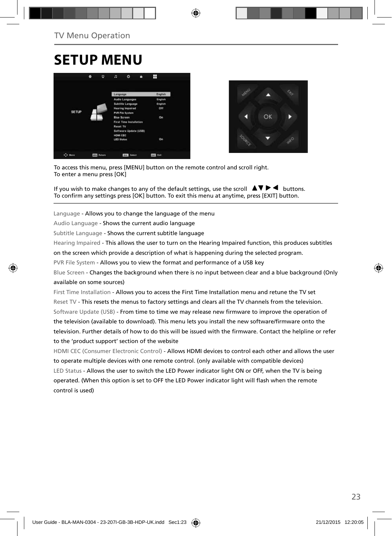# **SETUP MENU**





To access this menu, press [MENU] button on the remote control and scroll right. To enter a menu press [OK]

If you wish to make changes to any of the default settings, use the scroll  $\Box \Box \blacktriangleright \blacktriangleleft$  buttons. To confirm any settings press [OK] button. To exit this menu at anytime, press [EXIT] button.

Language - Allows you to change the language of the menu

Audio Language - Shows the current audio language

Subtitle Language - Shows the current subtitle language

Hearing Impaired - This allows the user to turn on the Hearing Impaired function, this produces subtitles

on the screen which provide a description of what is happening during the selected program.

PVR File System - Allows you to view the format and performance of a USB key

Blue Screen - Changes the background when there is no input between clear and a blue background (Only available on some sources)

First Time Installation - Allows you to access the First Time Installation menu and retune the TV set Reset TV - This resets the menus to factory settings and clears all the TV channels from the television. Software Update (USB) - From time to time we may release new firmware to improve the operation of the television (available to download). This menu lets you install the new software/firmware onto the television. Further details of how to do this will be issued with the firmware. Contact the helpline or refer to the 'product support' section of the website

HDMI CEC (Consumer Electronic Control) - Allows HDMI devices to control each other and allows the user to operate multiple devices with one remote control. (only available with compatible devices) LED Status - Allows the user to switch the LED Power indicator light ON or OFF, when the TV is being operated. (When this option is set to OFF the LED Power indicator light will flash when the remote control is used)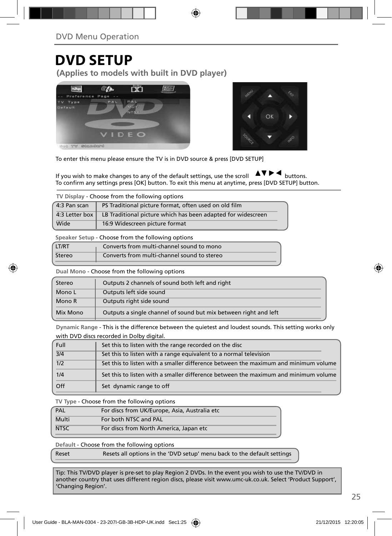## **DVD SETUP**

**(Applies to models with built in DVD player)**





To enter this menu please ensure the TV is in DVD source & press [DVD SETUP]

If you wish to make changes to any of the default settings, use the scroll  $\Box \Box \blacktriangleright \blacktriangleleft$  buttons. To confirm any settings press [OK] button. To exit this menu at anytime, press [DVD SETUP] button.

| TV Display - Choose from the following options |                                                              |  |  |
|------------------------------------------------|--------------------------------------------------------------|--|--|
| 4:3 Pan scan                                   | PS Traditional picture format, often used on old film        |  |  |
| 4:3 Letter box                                 | LB Traditional picture which has been adapted for widescreen |  |  |
| Wide                                           | 16:9 Widescreen picture format                               |  |  |
|                                                |                                                              |  |  |

**Speaker Setup** - Choose from the following options

| <b>LT/RT</b> | Converts from multi-channel sound to mono   |
|--------------|---------------------------------------------|
| Stereo       | Converts from multi-channel sound to stereo |

**Dual Mono** - Choose from the following options

| Stereo   | Outputs 2 channels of sound both left and right                  |
|----------|------------------------------------------------------------------|
| Mono L   | Outputs left side sound                                          |
| Mono R   | Outputs right side sound                                         |
| Mix Mono | Outputs a single channel of sound but mix between right and left |

**Dynamic Range** - This is the difference between the quietest and loudest sounds. This setting works only with DVD discs recorded in Dolby digital.

| Full             | Set this to listen with the range recorded on the disc                              |
|------------------|-------------------------------------------------------------------------------------|
| $\overline{3/4}$ | Set this to listen with a range equivalent to a normal television                   |
| $\overline{1/2}$ | Set this to listen with a smaller difference between the maximum and minimum volume |
| 1/4              | Set this to listen with a smaller difference between the maximum and minimum volume |
| <b>Off</b>       | Set dynamic range to off                                                            |

**TV Type** - Choose from the following options

| <b>NTSC</b> | For discs from North America, Japan etc       |
|-------------|-----------------------------------------------|
| Multi       | For both NTSC and PAL                         |
| PAL         | For discs from UK/Europe, Asia, Australia etc |

**Default** - Choose from the following options

Reset Resets all options in the 'DVD setup' menu back to the default settings

Tip: This TV/DVD player is pre-set to play Region 2 DVDs. In the event you wish to use the TV/DVD in another country that uses different region discs, please visit www.umc-uk.co.uk. Select 'Product Support', 'Changing Region'.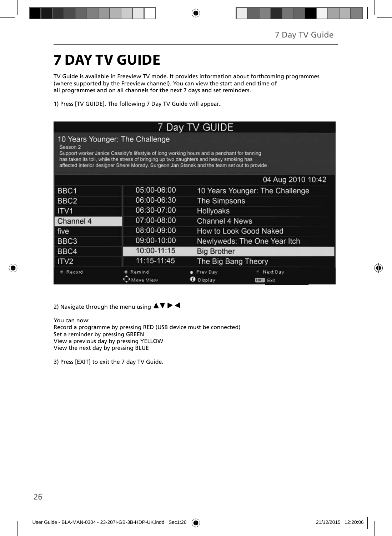# **7 DAY TV GUIDE**

TV Guide is available in Freeview TV mode. It provides information about forthcoming programmes (where supported by the Freeview channel). You can view the start and end time of all programmes and on all channels for the next 7 days and set reminders.

⊕

1) Press [TV GUIDE]. The following 7 Day TV Guide will appear..

#### 7 Day TV GUIDE 10 Years Younger: The Challenge Season 2 Support worker Janice Cassidy's lifestyle of long working hours and a penchant for tanning has taken its toll, while the stress of bringing up two daughters and heavy smoking has affected interior designer Shere Morady. Surgeon Jan Stanek and the team set out to provide 04 Aug 2010 10:42 BBC1 05:00-06:00 10 Years Younger: The Challenge 06:00-06:30 BBC<sub>2</sub> The Simpsons 06:30-07:00 ITV<sub>1</sub> Hollyoaks Channel 4 07:00-08:00 **Channel 4 News** How to Look Good Naked five 08:00-09:00 BBC<sub>3</sub> 09:00-10:00 Newlyweds: The One Year Itch 10:00-11:15 BBC4 **Big Brother** 11:15-11:45 The Big Bang Theory ITV2 # Record **Remind** · Prev Day - Next Day Move View **O** Display **EXIT** Exit

2) Navigate through the menu using  $\blacktriangle \blacktriangledown \blacktriangleright \blacktriangleleft$ 

You can now:

Record a programme by pressing RED (USB device must be connected) Set a reminder by pressing GREEN View a previous day by pressing YELLOW View the next day by pressing BLUE

3) Press [EXIT] to exit the 7 day TV Guide.

◈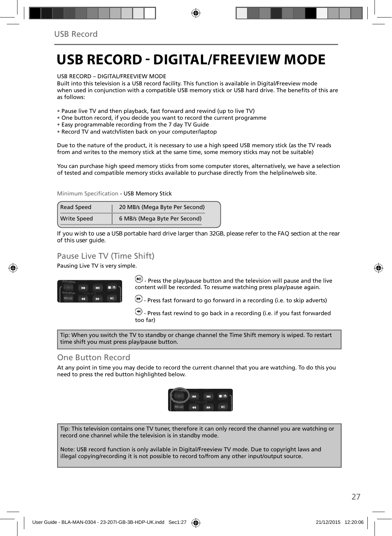# **USB RECORD - DIGITAL/FREEVIEW MODE**

USB RECORD – DIGITAL/FREEVIEW MODE

Built into this television is a USB record facility. This function is available in Digital/Freeview mode when used in conjunction with a compatible USB memory stick or USB hard drive. The benefits of this are as follows:

- Pause live TV and then playback, fast forward and rewind (up to live TV)
- One button record, if you decide you want to record the current programme
- Easy programmable recording from the 7 day TV Guide
- Record TV and watch/listen back on your computer/laptop

Due to the nature of the product, it is necessary to use a high speed USB memory stick (as the TV reads from and writes to the memory stick at the same time, some memory sticks may not be suitable)

You can purchase high speed memory sticks from some computer stores, alternatively, we have a selection of tested and compatible memory sticks available to purchase directly from the helpline/web site.

Minimum Specification - USB Memory Stick

| Read Speed         | 20 MB/s (Mega Byte Per Second) |  |
|--------------------|--------------------------------|--|
| <b>Write Speed</b> | 6 MB/s (Mega Byte Per Second)  |  |

**If you wish to use a USB portable hard drive larger than 32GB, please refer to the FAQ section at the rear of this user guide.**

### Pause Live TV (Time Shift)

Pausing Live TV is very simple.



 $-$  Press the play/pause button and the television will pause and the live content will be recorded. To resume watching press play/pause again.

 $\left(\cdot\right)$  - Press fast forward to go forward in a recording (i.e. to skip adverts)

 $\left(\bigstar\right)$  - Press fast rewind to go back in a recording (i.e. if you fast forwarded too far)

Tip: When you switch the TV to standby or change channel the Time Shift memory is wiped. To restart time shift you must press play/pause button.

### One Button Record

At any point in time you may decide to record the current channel that you are watching. To do this you need to press the red button highlighted below.



Tip: This television contains one TV tuner, therefore it can only record the channel you are watching or record one channel while the television is in standby mode.

Note: USB record function is only avilable in Digital/Freeview TV mode. Due to copyright laws and illegal copying/recording it is not possible to record to/from any other input/output source.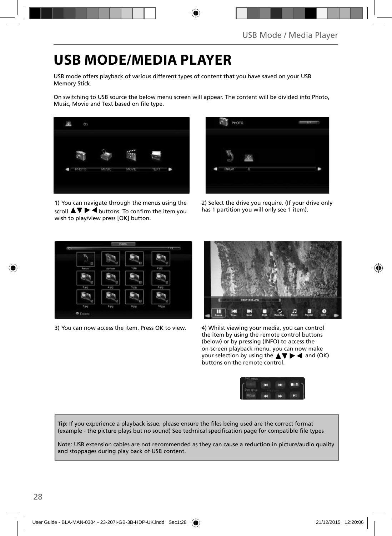## **USB MODE/MEDIA PLAYER**

USB mode offers playback of various different types of content that you have saved on your USB Memory Stick.

On switching to USB source the below menu screen will appear. The content will be divided into Photo, Music, Movie and Text based on file type.



1) You can navigate through the menus using the scroll  $\blacktriangle\blacktriangledown\blacktriangleright\blacktriangleleft$  buttons. To confirm the item you wish to play/view press [OK] button.



2) Select the drive you require. (If your drive only has 1 partition you will only see 1 item).



3) You can now access the item. Press OK to view. 4) Whilst viewing your media, you can control



the item by using the remote control buttons (below) or by pressing (INFO) to access the on-screen playback menu, you can now make your selection by using the  $\blacktriangle \blacktriangledown \blacktriangleright \blacktriangleleft$  and (OK) buttons on the remote control.



Tip: If you experience a playback issue, please ensure the files being used are the correct format (example - the picture plays but no sound) See technical specification page for compatible file types

Note: USB extension cables are not recommended as they can cause a reduction in picture/audio quality and stoppages during play back of USB content.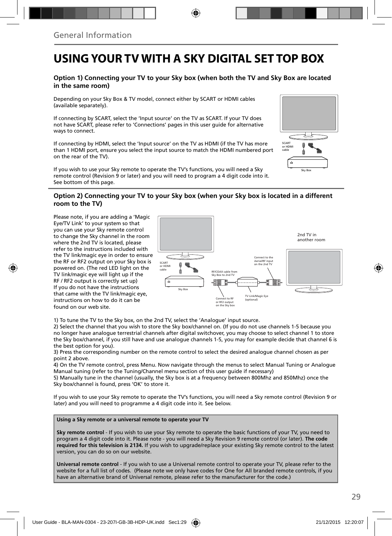## **USING YOUR TV WITH A SKY DIGITAL SET TOP BOX**

#### **Option 1) Connecting your TV to your Sky box (when both the TV and Sky Box are located in the same room)**

Depending on your Sky Box & TV model, connect either by SCART or HDMI cables (available separately).

If connecting by SCART, select the 'Input source' on the TV as SCART. If your TV does not have SCART, please refer to 'Connections' pages in this user guide for alternative ways to connect.

If connecting by HDMI, select the 'Input source' on the TV as HDMI (if the TV has more than 1 HDMI port, ensure you select the input source to match the HDMI numbered port on the rear of the TV).

If you wish to use your Sky remote to operate the TV's functions, you will need a Sky remote control (Revision 9 or later) and you will need to program a 4 digit code into it. See bottom of this page.

### **Option 2) Connecting your TV to your Sky box (when your Sky box is located in a different room to the TV)**

Please note, if you are adding a 'Magic Eye/TV Link' to your system so that you can use your Sky remote control to change the Sky channel in the room where the 2nd TV is located, please refer to the instructions included with the TV link/magic eye in order to ensure the RF or RF2 output on your Sky box is powered on. (The red LED light on the TV link/magic eye will light up if the RF / RF2 output is correctly set up) If you do not have the instructions that came with the TV link/magic eye, instructions on how to do it can be found on our web site.



Sky Box

Ŧ

SCART or HDMI cable

1) To tune the TV to the Sky box, on the 2nd TV, select the 'Analogue' input source.

2) Select the channel that you wish to store the Sky box/channel on. (If you do not use channels 1-5 because you no longer have analogue terrestrial channels after digital switchover, you may choose to select channel 1 to store the Sky box/channel, if you still have and use analogue channels 1-5, you may for example decide that channel 6 is the best option for you).

3) Press the corresponding number on the remote control to select the desired analogue channel chosen as per point 2 above.

4) On the TV remote control, press Menu. Now navigate through the menus to select Manual Tuning or Analogue Manual tuning (refer to the Tuning/Channel menu section of this user guide if necessary)

5) Manually tune in the channel (usually, the Sky box is at a frequency between 800Mhz and 850Mhz) once the Sky box/channel is found, press 'OK' to store it.

If you wish to use your Sky remote to operate the TV's functions, you will need a Sky remote control (Revision 9 or later) and you will need to programme a 4 digit code into it. See below.

#### **Using a Sky remote or a universal remote to operate your TV**

**Sky remote control** - If you wish to use your Sky remote to operate the basic functions of your TV, you need to program a 4 digit code into it. Please note - you will need a Sky Revision 9 remote control (or later). **The code required for this television is 2134.** If you wish to upgrade/replace your existing Sky remote control to the latest version, you can do so on our website.

**Universal remote control** - If you wish to use a Universal remote control to operate your TV, please refer to the website for a full list of codes. (Please note we only have codes for One for All branded remote controls, if you have an alternative brand of Universal remote, please refer to the manufacturer for the code.)

↔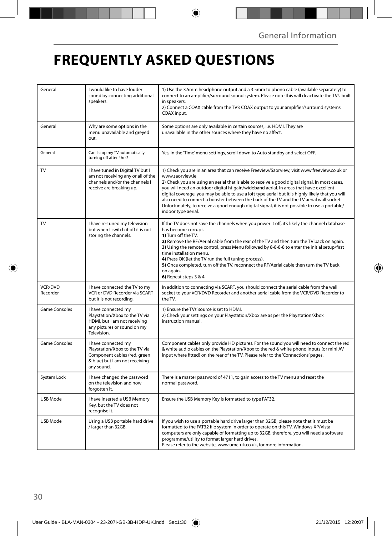# **FREQUENTLY ASKED QUESTIONS**

◈

| General                    | I would like to have louder<br>sound by connecting additional<br>speakers.                                                            | 1) Use the 3.5mm headphone output and a 3.5mm to phono cable (available separately) to<br>connect to an amplifier/surround sound system. Please note this will deactivate the TV's built<br>in speakers.<br>2) Connect a COAX cable from the TV's COAX output to your amplifier/surround systems<br>COAX input.                                                                                                                                                                                                                                                                                                                     |  |
|----------------------------|---------------------------------------------------------------------------------------------------------------------------------------|-------------------------------------------------------------------------------------------------------------------------------------------------------------------------------------------------------------------------------------------------------------------------------------------------------------------------------------------------------------------------------------------------------------------------------------------------------------------------------------------------------------------------------------------------------------------------------------------------------------------------------------|--|
| General                    | Why are some options in the<br>menu unavailable and greyed<br>out.                                                                    | Some options are only available in certain sources, i.e. HDMI. They are<br>unavailable in the other sources where they have no affect.                                                                                                                                                                                                                                                                                                                                                                                                                                                                                              |  |
| General                    | Can I stop my TV automatically<br>turning off after 4hrs?                                                                             | Yes, in the 'Time' menu settings, scroll down to Auto standby and select OFF.                                                                                                                                                                                                                                                                                                                                                                                                                                                                                                                                                       |  |
| TV                         | I have tuned in Digital TV but I<br>am not receiving any or all of the<br>channels and/or the channels I<br>receive are breaking up.  | 1) Check you are in an area that can receive Freeview/Saorview, visit www.freeview.co.uk or<br>www.saorview.ie<br>2) Check you are using an aerial that is able to receive a good digital signal. In most cases,<br>you will need an outdoor digital hi-gain/wideband aerial. In areas that have excellent<br>digital coverage, you may be able to use a loft type aerial but it is highly likely that you will<br>also need to connect a booster between the back of the TV and the TV aerial wall socket.<br>Unfortunately, to receive a good enough digital signal, it is not possible to use a portable/<br>indoor type aerial. |  |
| TV                         | I have re-tuned my television<br>but when I switch it off it is not<br>storing the channels.                                          | If the TV does not save the channels when you power it off, it's likely the channel database<br>has become corrupt.<br>1) Turn off the TV.<br>2) Remove the RF/Aerial cable from the rear of the TV and then turn the TV back on again.<br>3) Using the remote control, press Menu followed by 8-8-8-8 to enter the initial setup/first<br>time installation menu.<br>4) Press OK (let the TV run the full tuning process).<br>5) Once completed, turn off the TV, reconnect the RF/Aerial cable then turn the TV back<br>on again.<br>6) Repeat steps 3 & 4.                                                                       |  |
| <b>VCR/DVD</b><br>Recorder | I have connected the TV to my<br>VCR or DVD Recorder via SCART<br>but it is not recording.                                            | In addition to connecting via SCART, you should connect the aerial cable from the wall<br>socket to your VCR/DVD Recorder and another aerial cable from the VCR/DVD Recorder to<br>the TV.                                                                                                                                                                                                                                                                                                                                                                                                                                          |  |
| <b>Game Consoles</b>       | I have connected my<br>Playstation/Xbox to the TV via<br>HDMI, but I am not receiving<br>any pictures or sound on my<br>Television.   | 1) Ensure the TVs' source is set to HDMI.<br>2) Check your settings on your Playstation/Xbox are as per the Playstation/Xbox<br>instruction manual.                                                                                                                                                                                                                                                                                                                                                                                                                                                                                 |  |
| <b>Game Consoles</b>       | I have connected my<br>Playstation/Xbox to the TV via<br>Component cables (red, green<br>& blue) but I am not receiving<br>any sound. | Component cables only provide HD pictures. For the sound you will need to connect the red<br>& white audio cables on the Playstation/Xbox to the red & white phono inputs (or mini AV<br>input where fitted) on the rear of the TV. Please refer to the 'Connections' pages.                                                                                                                                                                                                                                                                                                                                                        |  |
| System Lock                | I have changed the password<br>on the television and now<br>forgotten it.                                                             | There is a master password of 4711, to gain access to the TV menu and reset the<br>normal password.                                                                                                                                                                                                                                                                                                                                                                                                                                                                                                                                 |  |
| USB Mode                   | I have inserted a USB Memory<br>Key, but the TV does not<br>recognise it.                                                             | Ensure the USB Memory Key is formatted to type FAT32.                                                                                                                                                                                                                                                                                                                                                                                                                                                                                                                                                                               |  |
| <b>USB Mode</b>            | Using a USB portable hard drive<br>/ larger than 32GB.                                                                                | If you wish to use a portable hard drive larger than 32GB, please note that it must be<br>formatted to the FAT32 file system in order to operate on this TV. Windows XP/Vista<br>computers are only capable of formatting up to 32GB, therefore, you will need a software<br>programme/utility to format larger hard drives.<br>Please refer to the website, www.umc-uk.co.uk, for more information.                                                                                                                                                                                                                                |  |

◈

◈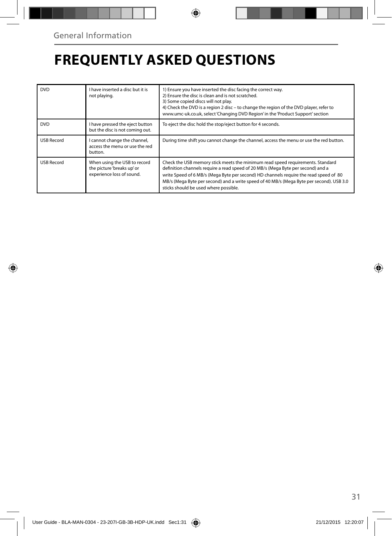◈

# **FREQUENTLY ASKED QUESTIONS**

| <b>DVD</b>        | I have inserted a disc but it is<br>not playing.                                        | 1) Ensure you have inserted the disc facing the correct way.<br>2) Ensure the disc is clean and is not scratched.<br>3) Some copied discs will not play.<br>4) Check the DVD is a region 2 disc - to change the region of the DVD player, refer to<br>www.umc-uk.co.uk, select 'Changing DVD Region' in the 'Product Support' section                                                            |  |
|-------------------|-----------------------------------------------------------------------------------------|--------------------------------------------------------------------------------------------------------------------------------------------------------------------------------------------------------------------------------------------------------------------------------------------------------------------------------------------------------------------------------------------------|--|
| <b>DVD</b>        | I have pressed the eject button<br>but the disc is not coming out.                      | To eject the disc hold the stop/eject button for 4 seconds.                                                                                                                                                                                                                                                                                                                                      |  |
| <b>USB Record</b> | I cannot change the channel,<br>access the menu or use the red<br>button.               | During time shift you cannot change the channel, access the menu or use the red button.                                                                                                                                                                                                                                                                                                          |  |
| <b>USB Record</b> | When using the USB to record<br>the picture 'breaks up' or<br>experience loss of sound. | Check the USB memory stick meets the minimum read speed requirements. Standard<br>definition channels require a read speed of 20 MB/s (Mega Byte per second) and a<br>write Speed of 6 MB/s (Mega Byte per second) HD channels require the read speed of 80<br>MB/s (Mega Byte per second) and a write speed of 40 MB/s (Mega Byte per second). USB 3.0<br>sticks should be used where possible. |  |

◈

◈

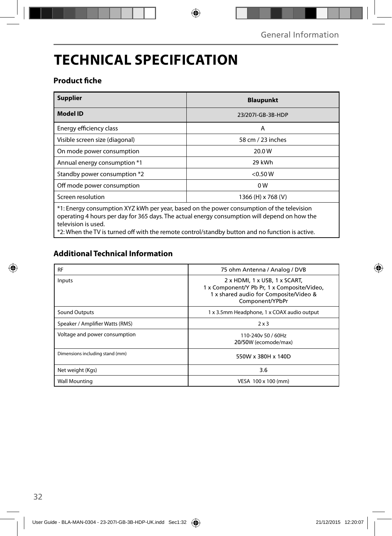# **TECHNICAL SPECIFICATION**

## **Product fiche**

| <b>Supplier</b>                                                                                                                                                                                                  | <b>Blaupunkt</b>   |  |
|------------------------------------------------------------------------------------------------------------------------------------------------------------------------------------------------------------------|--------------------|--|
| <b>Model ID</b>                                                                                                                                                                                                  | 23/207I-GB-3B-HDP  |  |
| Energy efficiency class                                                                                                                                                                                          | A                  |  |
| Visible screen size (diagonal)                                                                                                                                                                                   | 58 cm / 23 inches  |  |
| On mode power consumption                                                                                                                                                                                        | 20.0 W             |  |
| Annual energy consumption *1                                                                                                                                                                                     | 29 kWh             |  |
| Standby power consumption *2                                                                                                                                                                                     | < 0.50 W           |  |
| Off mode power consumption                                                                                                                                                                                       | 0 <sub>W</sub>     |  |
| Screen resolution                                                                                                                                                                                                | 1366 (H) x 768 (V) |  |
| *1: Energy consumption XYZ kWh per year, based on the power consumption of the television<br>operating 4 hours per day for 365 days. The actual energy consumption will depend on how the<br>television is used. |                    |  |

 $\bigoplus$ 

\*2: When the TV is turned off with the remote control/standby button and no function is active.

## **Additional Technical Information**

| <b>RF</b>                       | 75 ohm Antenna / Analog / DVB                                                                                                             |
|---------------------------------|-------------------------------------------------------------------------------------------------------------------------------------------|
| Inputs                          | 2 x HDMI, 1 x USB, 1 x SCART,<br>1 x Component/Y Pb Pr, 1 x Composite/Video,<br>1 x shared audio for Composite/Video &<br>Component/YPbPr |
| Sound Outputs                   | 1 x 3.5mm Headphone, 1 x COAX audio output                                                                                                |
| Speaker / Amplifier Watts (RMS) | $2 \times 3$                                                                                                                              |
| Voltage and power consumption   | 110-240y 50 / 60Hz<br>20/50W (ecomode/max)                                                                                                |
| Dimensions including stand (mm) | 550W x 380H x 140D                                                                                                                        |
| Net weight (Kgs)                | 3.6                                                                                                                                       |
| <b>Wall Mounting</b>            | VESA 100 x 100 (mm)                                                                                                                       |

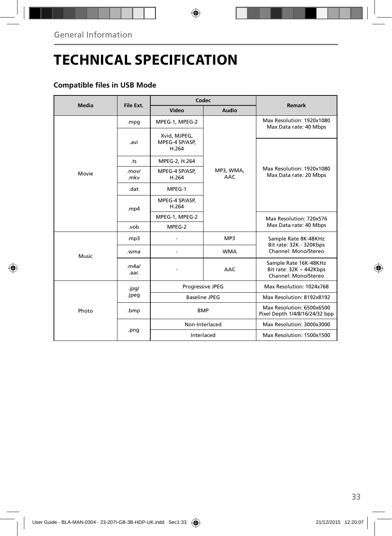⊕

# **TECHNICAL SPECIFICATION**

## **Compatible files in USB Mode**

| Media | File Ext.     | Codec                                   |                         |                                                                               |
|-------|---------------|-----------------------------------------|-------------------------|-------------------------------------------------------------------------------|
|       |               | Video                                   | Audio                   | Remark                                                                        |
|       | .mpg          | MPEG-1, MPEG-2                          |                         | Max Resolution: 1920x1080<br>Max Data rate: 40 Mbps                           |
|       | .avi          | Xvid, MJPEG,<br>MPEG-4 SP/ASP.<br>H.264 |                         |                                                                               |
|       | .ts           | MPEG-2, H.264                           |                         |                                                                               |
| Movie | .mov/<br>.mkv | MPEG-4 SP/ASP,<br>H.264                 | MP3, WMA,<br><b>AAC</b> | Max Resolution: 1920x1080<br>Max Data rate: 20 Mbps                           |
|       | .dat          | MPEG-1                                  |                         |                                                                               |
|       | mp4           | MPEG-4 SP/ASP,<br>H.264                 |                         |                                                                               |
|       |               | MPEG-1, MPEG-2                          |                         | Max Resolution: 720x576                                                       |
|       | .vob          | MPEG-2                                  |                         | Max Data rate: 40 Mbps                                                        |
|       | mp3.          |                                         | MP3                     | Sample Rate 8K-48KHz<br>Bit rate: 32K - 320Kbps                               |
| Music | .wma          |                                         | <b>WMA</b>              | Channel: Mono/Stereo                                                          |
|       | .m4a/<br>.aac |                                         | <b>AAC</b>              | Sample Rate 16K-48KHz<br>Bit rate: $32K \sim 442Kbps$<br>Channel: Mono/Stereo |
|       | .jpg/         | Progressive JPEG                        |                         | Max Resolution: 1024x768                                                      |
|       | .jpeg         | <b>Baseline JPEG</b>                    |                         | Max Resolution: 8192x8192                                                     |
| Photo | .bmp          | <b>BMP</b>                              |                         | Max Resolution: 6500x6500<br>Pixel Depth 1/4/8/16/24/32 bpp                   |
|       | .png          | Non-Interlaced                          |                         | Max Resolution: 3000x3000                                                     |
|       |               | Interlaced                              |                         | Max Resolution: 1500x1500                                                     |

◈

33